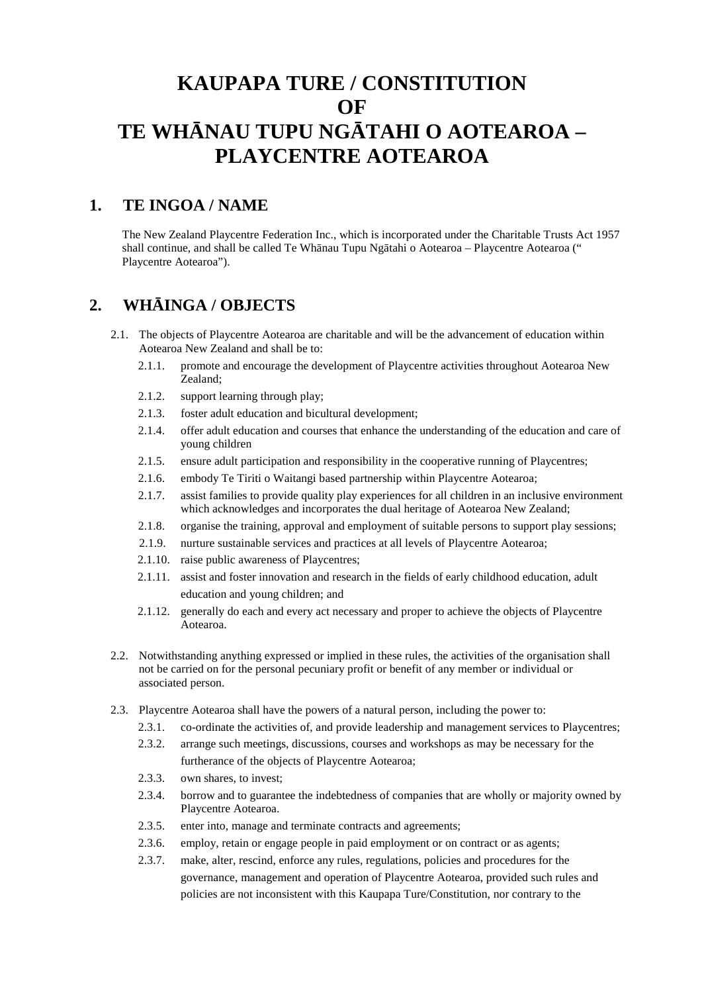# **KAUPAPA TURE / CONSTITUTION OF** TE WH NAU TUPU NG TAHI O AOTEAROA – **PLAYCENTRE AOTEAROA**

### **1. TE INGOA / NAME**

The New Zealand Playcentre Federation Inc., which is incorporated under the Charitable Trusts Act 1957 shall continue, and shall be called Te Wh nau Tupu Ng tahi o Aotearoa – Playcentre Aotearoa (" Playcentre Aotearoa").

### **2. WHĀINGA / OBJECTS**

- 2.1. The objects of Playcentre Aotearoa are charitable and will be the advancement of education within Aotearoa New Zealand and shall be to:
	- 2.1.1. promote and encourage the development of Playcentre activities throughout Aotearoa New Zealand;
	- 2.1.2. support learning through play;
	- 2.1.3. foster adult education and bicultural development;
	- 2.1.4. offer adult education and courses that enhance the understanding of the education and care of young children
	- 2.1.5. ensure adult participation and responsibility in the cooperative running of Playcentres;
	- 2.1.6. embody Te Tiriti o Waitangi based partnership within Playcentre Aotearoa;
	- 2.1.7. assist families to provide quality play experiences for all children in an inclusive environment which acknowledges and incorporates the dual heritage of Aotearoa New Zealand;
	- 2.1.8. organise the training, approval and employment of suitable persons to support play sessions;
	- 2.1.9. nurture sustainable services and practices at all levels of Playcentre Aotearoa;
	- 2.1.10. raise public awareness of Playcentres;
	- 2.1.11. assist and foster innovation and research in the fields of early childhood education, adult education and young children; and
	- 2.1.12. generally do each and every act necessary and proper to achieve the objects of Playcentre Aotearoa.
- 2.2. Notwithstanding anything expressed or implied in these rules, the activities of the organisation shall not be carried on for the personal pecuniary profit or benefit of any member or individual or associated person.
- 2.3. Playcentre Aotearoa shall have the powers of a natural person, including the power to:
	- 2.3.1. co-ordinate the activities of, and provide leadership and management services to Playcentres;
	- 2.3.2. arrange such meetings, discussions, courses and workshops as may be necessary for the furtherance of the objects of Playcentre Aotearoa;
	- 2.3.3. own shares, to invest;
	- 2.3.4. borrow and to guarantee the indebtedness of companies that are wholly or majority owned by Playcentre Aotearoa.
	- 2.3.5. enter into, manage and terminate contracts and agreements;
	- 2.3.6. employ, retain or engage people in paid employment or on contract or as agents;
	- 2.3.7. make, alter, rescind, enforce any rules, regulations, policies and procedures for the governance, management and operation of Playcentre Aotearoa, provided such rules and policies are not inconsistent with this Kaupapa Ture/Constitution, nor contrary to the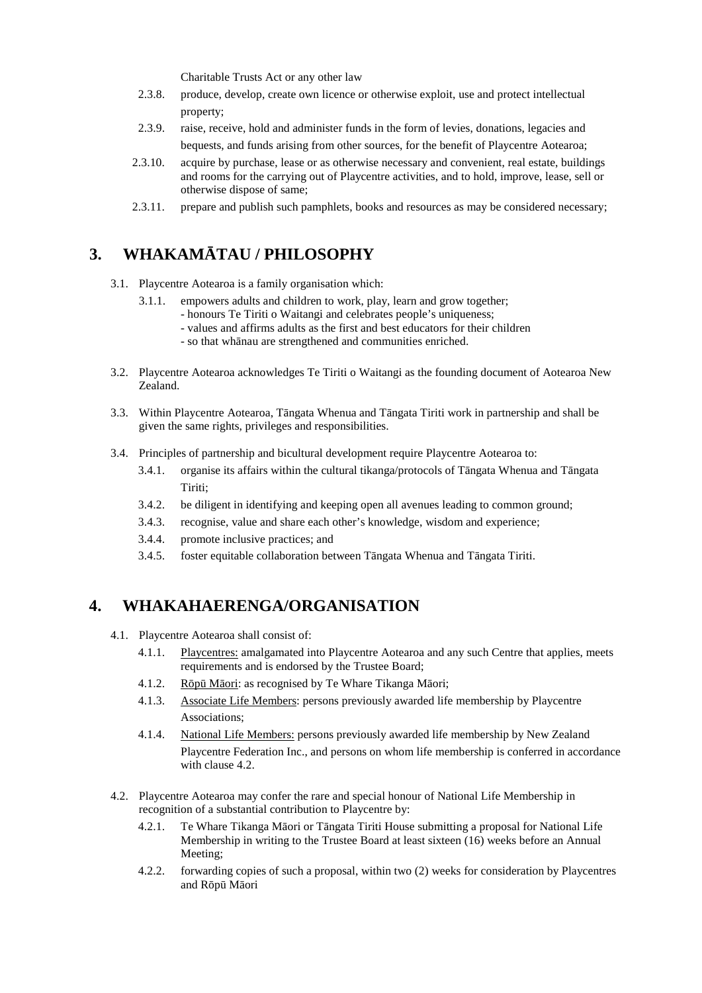Charitable Trusts Act or any other law

- 2.3.8. produce, develop, create own licence or otherwise exploit, use and protect intellectual property;
- 2.3.9. raise, receive, hold and administer funds in the form of levies, donations, legacies and bequests, and funds arising from other sources, for the benefit of Playcentre Aotearoa;
- 2.3.10. acquire by purchase, lease or as otherwise necessary and convenient, real estate, buildings and rooms for the carrying out of Playcentre activities, and to hold, improve, lease, sell or otherwise dispose of same;
- 2.3.11. prepare and publish such pamphlets, books and resources as may be considered necessary;

# 3. **WHAKAM TAU / PHILOSOPHY**

- 3.1. Playcentre Aotearoa is a family organisation which:
	- 3.1.1. empowers adults and children to work, play, learn and grow together;
		- honours Te Tiriti o Waitangi and celebrates people's uniqueness;
		- values and affirms adults as the first and best educators for their children
			- so that wh nau are strengthened and communities enriched.
- 3.2. Playcentre Aotearoa acknowledges Te Tiriti o Waitangi as the founding document of Aotearoa New Zealand.
- 3.3. Within Playcentre Aotearoa, T ngata Whenua and T ngata Tiriti work in partnership and shall be given the same rights, privileges and responsibilities.
- 3.4. Principles of partnership and bicultural development require Playcentre Aotearoa to:
	- 3.4.1. organise its affairs within the cultural tikanga/protocols of T ngata Whenua and T ngata Tiriti;
	- 3.4.2. be diligent in identifying and keeping open all avenues leading to common ground;
	- 3.4.3. recognise, value and share each other's knowledge, wisdom and experience;
	- 3.4.4. promote inclusive practices; and
	- 3.4.5. foster equitable collaboration between T ngata Whenua and T ngata Tiriti.

### **4. WHAKAHAERENGA/ORGANISATION**

- 4.1. Playcentre Aotearoa shall consist of:
	- 4.1.1. Playcentres: amalgamated into Playcentre Aotearoa and any such Centre that applies, meets requirements and is endorsed by the Trustee Board;
	- 4.1.2. R  $p$  M ori: as recognised by Te Whare Tikanga M ori;
	- 4.1.3. Associate Life Members: persons previously awarded life membership by Playcentre Associations;
	- 4.1.4. National Life Members: persons previously awarded life membership by New Zealand Playcentre Federation Inc., and persons on whom life membership is conferred in accordance with clause 4.2.
- 4.2. Playcentre Aotearoa may confer the rare and special honour of National Life Membership in recognition of a substantial contribution to Playcentre by:
	- 4.2.1. Te Whare Tikanga M ori or T ngata Tiriti House submitting a proposal for National Life Membership in writing to the Trustee Board at least sixteen (16) weeks before an Annual Meeting;
	- 4.2.2. forwarding copies of such a proposal, within two (2) weeks for consideration by Playcentres and  $R$  p  $M$  ori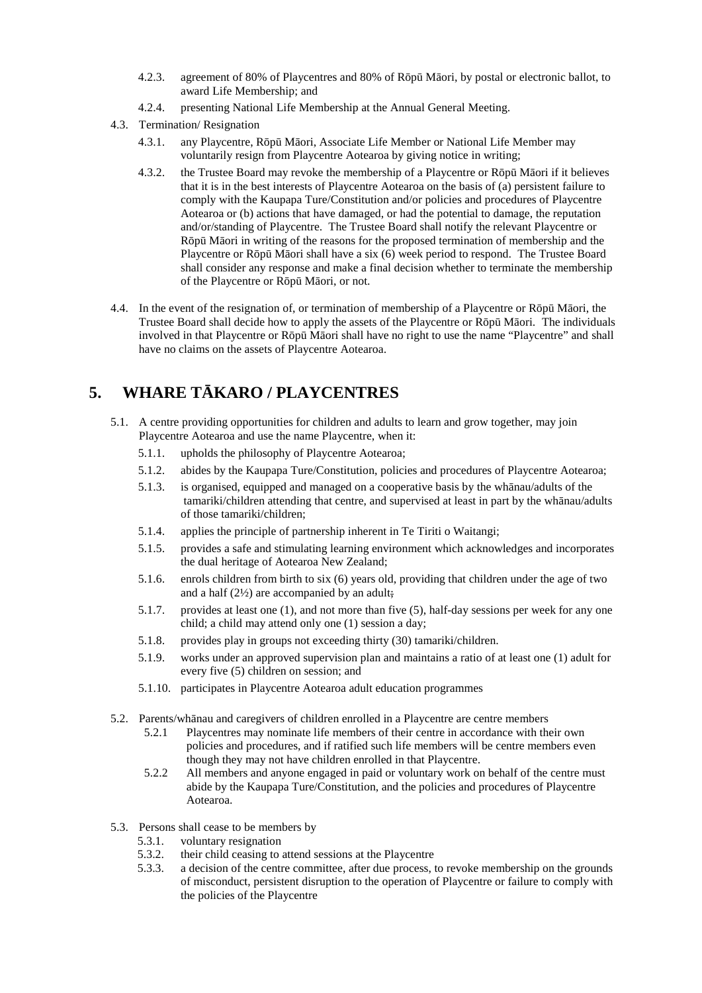- 4.2.3. agreement of 80% of Playcentres and 80% of R  $\,p\,$  M ori, by postal or electronic ballot, to award Life Membership; and
- 4.2.4. presenting National Life Membership at the Annual General Meeting.
- 4.3. Termination/ Resignation
	- 4.3.1. any Playcentre,  $R \nabla p \nabla M$  ori, Associate Life Member or National Life Member may voluntarily resign from Playcentre Aotearoa by giving notice in writing;
	- 4.3.2. the Trustee Board may revoke the membership of a Playcentre or  $R$  p  $M$  ori if it believes that it is in the best interests of Playcentre Aotearoa on the basis of (a) persistent failure to comply with the Kaupapa Ture/Constitution and/or policies and procedures of Playcentre Aotearoa or (b) actions that have damaged, or had the potential to damage, the reputation and/or/standing of Playcentre. The Trustee Board shall notify the relevant Playcentre or  $R$  p M ori in writing of the reasons for the proposed termination of membership and the Playcentre or  $R$  p M ori shall have a six (6) week period to respond. The Trustee Board shall consider any response and make a final decision whether to terminate the membership of the Playcentre or  $R<sub>p</sub>$  M ori, or not.
- 4.4. In the event of the resignation of, or termination of membership of a Playcentre or R  $\bar{p}$  M ori, the Trustee Board shall decide how to apply the assets of the Playcentre or  $\overline{R}$  p M ori. The individuals involved in that Playcentre or  $R$  p  $M$  ori shall have no right to use the name "Playcentre" and shall have no claims on the assets of Playcentre Aotearoa.

# **5. WHARE T KARO / PLAYCENTRES**

- 5.1. A centre providing opportunities for children and adults to learn and grow together, may join Playcentre Aotearoa and use the name Playcentre, when it:
	- 5.1.1. upholds the philosophy of Playcentre Aotearoa;
	- 5.1.2. abides by the Kaupapa Ture/Constitution, policies and procedures of Playcentre Aotearoa;
	- 5.1.3. is organised, equipped and managed on a cooperative basis by the wh nau/adults of the tamariki/children attending that centre, and supervised at least in part by the wh nau/adults of those tamariki/children;
	- 5.1.4. applies the principle of partnership inherent in Te Tiriti o Waitangi;
	- 5.1.5. provides a safe and stimulating learning environment which acknowledges and incorporates the dual heritage of Aotearoa New Zealand;
	- 5.1.6. enrols children from birth to six (6) years old, providing that children under the age of two and a half  $(2\frac{1}{2})$  are accompanied by an adult;
	- 5.1.7. provides at least one (1), and not more than five (5), half-day sessions per week for any one child; a child may attend only one (1) session a day;
	- 5.1.8. provides play in groups not exceeding thirty (30) tamariki/children.
	- 5.1.9. works under an approved supervision plan and maintains a ratio of at least one (1) adult for every five (5) children on session; and
	- 5.1.10. participates in Playcentre Aotearoa adult education programmes
- 5.2. Parents/wh nau and caregivers of children enrolled in a Playcentre are centre members
	- 5.2.1 Playcentres may nominate life members of their centre in accordance with their own policies and procedures, and if ratified such life members will be centre members even though they may not have children enrolled in that Playcentre.
	- 5.2.2 All members and anyone engaged in paid or voluntary work on behalf of the centre must abide by the Kaupapa Ture/Constitution, and the policies and procedures of Playcentre Aotearoa.
- 5.3. Persons shall cease to be members by
	- 5.3.1. voluntary resignation
	- 5.3.2. their child ceasing to attend sessions at the Playcentre
	- 5.3.3. a decision of the centre committee, after due process, to revoke membership on the grounds of misconduct, persistent disruption to the operation of Playcentre or failure to comply with the policies of the Playcentre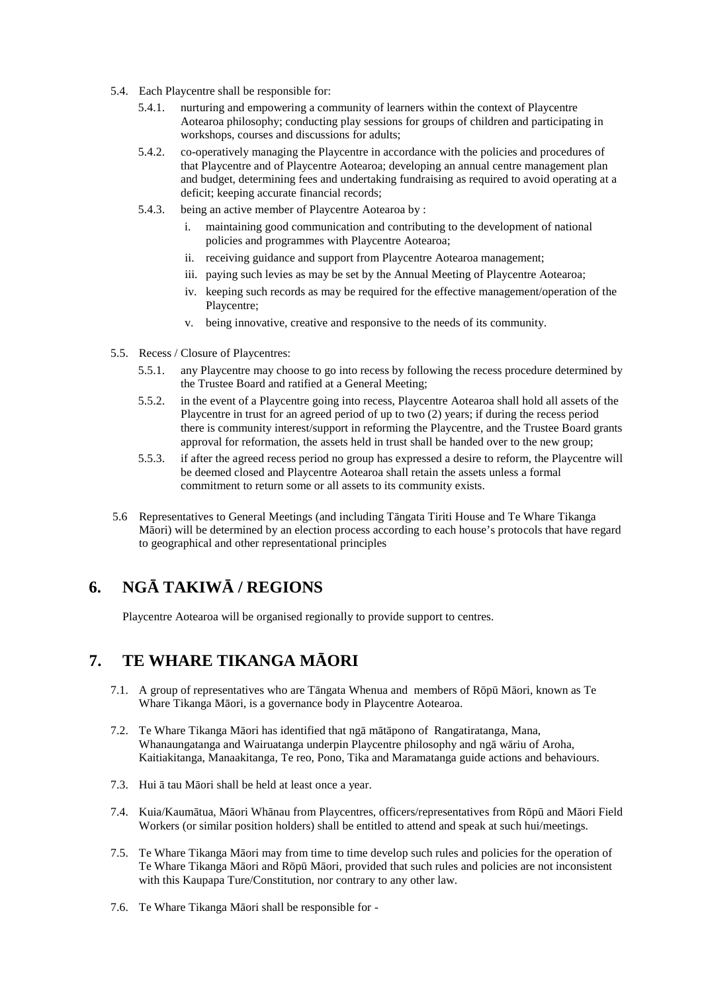- 5.4. Each Playcentre shall be responsible for:
	- 5.4.1. nurturing and empowering a community of learners within the context of Playcentre Aotearoa philosophy; conducting play sessions for groups of children and participating in workshops, courses and discussions for adults;
	- 5.4.2. co-operatively managing the Playcentre in accordance with the policies and procedures of that Playcentre and of Playcentre Aotearoa; developing an annual centre management plan and budget, determining fees and undertaking fundraising as required to avoid operating at a deficit; keeping accurate financial records;
	- 5.4.3. being an active member of Playcentre Aotearoa by :
		- i. maintaining good communication and contributing to the development of national policies and programmes with Playcentre Aotearoa;
		- ii. receiving guidance and support from Playcentre Aotearoa management;
		- iii. paying such levies as may be set by the Annual Meeting of Playcentre Aotearoa;
		- iv. keeping such records as may be required for the effective management/operation of the Playcentre;
		- v. being innovative, creative and responsive to the needs of its community.
- 5.5. Recess / Closure of Playcentres:
	- 5.5.1. any Playcentre may choose to go into recess by following the recess procedure determined by the Trustee Board and ratified at a General Meeting;
	- 5.5.2. in the event of a Playcentre going into recess, Playcentre Aotearoa shall hold all assets of the Playcentre in trust for an agreed period of up to two (2) years; if during the recess period there is community interest/support in reforming the Playcentre, and the Trustee Board grants approval for reformation, the assets held in trust shall be handed over to the new group;
	- 5.5.3. if after the agreed recess period no group has expressed a desire to reform, the Playcentre will be deemed closed and Playcentre Aotearoa shall retain the assets unless a formal commitment to return some or all assets to its community exists.
- 5.6 Representatives to General Meetings (and including T ngata Tiriti House and Te Whare Tikanga Māori) will be determined by an election process according to each house's protocols that have regard to geographical and other representational principles

# **6. NG TAKIW / REGIONS**

Playcentre Aotearoa will be organised regionally to provide support to centres.

# **7. TE WHARE TIKANGA M ORI**

- 7.1. A group of representatives who are T ngata Whenua and members of R  $p$  M ori, known as Te Whare Tikanga M ori, is a governance body in Playcentre Aotearoa.
- 7.2. Te Whare Tikanga M ori has identified that ng m t pono of Rangatiratanga, Mana, Whanaungatanga and Wairuatanga underpin Playcentre philosophy and ng w riu of Aroha, Kaitiakitanga, Manaakitanga, Te reo, Pono, Tika and Maramatanga guide actions and behaviours.
- 7.3. Hui tau M ori shall be held at least once a year.
- 7.4. Kuia/Kaum tua, M ori Wh nau from Playcentres, officers/representatives from R p and M ori Field Workers (or similar position holders) shall be entitled to attend and speak at such hui/meetings.
- 7.5. Te Whare Tikanga M ori may from time to time develop such rules and policies for the operation of Te Whare Tikanga M ori and R p M ori, provided that such rules and policies are not inconsistent with this Kaupapa Ture/Constitution, nor contrary to any other law.
- 7.6. Te Whare Tikanga M ori shall be responsible for -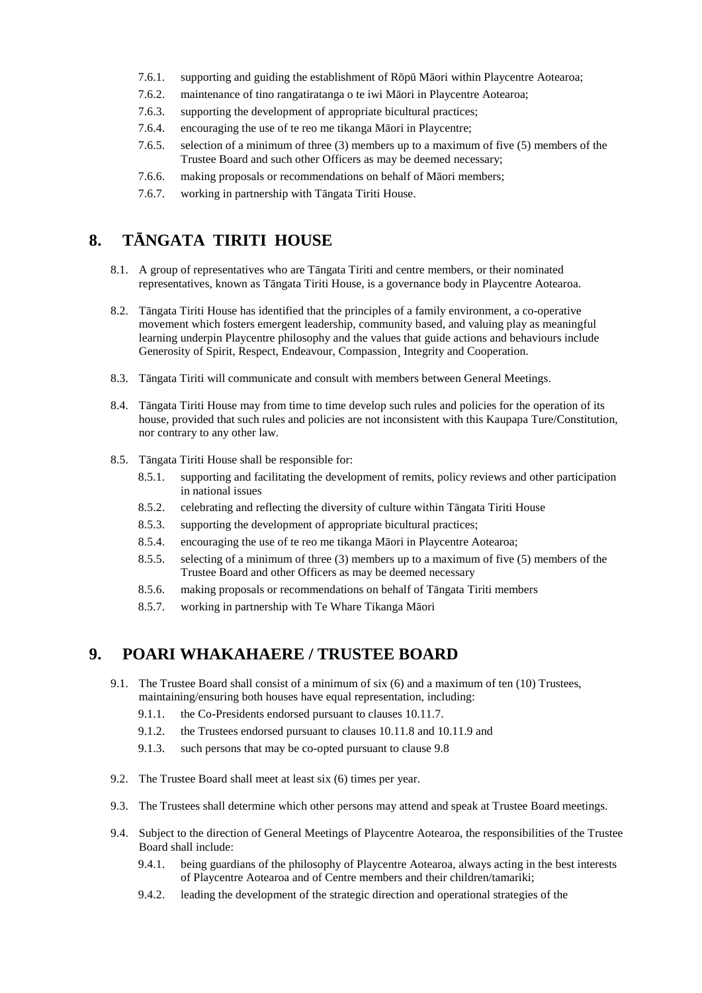- 7.6.1. supporting and guiding the establishment of  $R \nvert p \Delta$  M ori within Playcentre Aotearoa;
- 7.6.2. maintenance of tino rangatiratanga o te iwi M ori in Playcentre Aotearoa;
- 7.6.3. supporting the development of appropriate bicultural practices;
- 7.6.4. encouraging the use of te reo me tikanga M ori in Playcentre;
- 7.6.5. selection of a minimum of three (3) members up to a maximum of five (5) members of the Trustee Board and such other Officers as may be deemed necessary;
- 7.6.6. making proposals or recommendations on behalf of M ori members;
- 7.6.7. working in partnership with T ngata Tiriti House.

### **8. T NGATA TIRITI HOUSE**

- 8.1. A group of representatives who are T ngata Tiriti and centre members, or their nominated representatives, known as T ngata Tiriti House, is a governance body in Playcentre Aotearoa.
- 8.2. T ngata Tiriti House has identified that the principles of a family environment, a co-operative movement which fosters emergent leadership, community based, and valuing play as meaningful learning underpin Playcentre philosophy and the values that guide actions and behaviours include Generosity of Spirit, Respect, Endeavour, Compassion¸ Integrity and Cooperation.
- 8.3. T ngata Tiriti will communicate and consult with members between General Meetings.
- 8.4. T ngata Tiriti House may from time to time develop such rules and policies for the operation of its house, provided that such rules and policies are not inconsistent with this Kaupapa Ture/Constitution, nor contrary to any other law.
- 8.5. T ngata Tiriti House shall be responsible for:
	- 8.5.1. supporting and facilitating the development of remits, policy reviews and other participation in national issues
	- 8.5.2. celebrating and reflecting the diversity of culture within T ngata Tiriti House
	- 8.5.3. supporting the development of appropriate bicultural practices;
	- 8.5.4. encouraging the use of te reo me tikanga M ori in Playcentre Aotearoa;
	- 8.5.5. selecting of a minimum of three (3) members up to a maximum of five (5) members of the Trustee Board and other Officers as may be deemed necessary
	- 8.5.6. making proposals or recommendations on behalf of T ngata Tiriti members
	- 8.5.7. working in partnership with Te Whare Tikanga M ori

### **9. POARI WHAKAHAERE / TRUSTEE BOARD**

- 9.1. The Trustee Board shall consist of a minimum of six (6) and a maximum of ten (10) Trustees, maintaining/ensuring both houses have equal representation, including:
	- 9.1.1. the Co-Presidents endorsed pursuant to clauses 10.11.7.
	- 9.1.2. the Trustees endorsed pursuant to clauses 10.11.8 and 10.11.9 and
	- 9.1.3. such persons that may be co-opted pursuant to clause 9.8
- 9.2. The Trustee Board shall meet at least six (6) times per year.
- 9.3. The Trustees shall determine which other persons may attend and speak at Trustee Board meetings.
- 9.4. Subject to the direction of General Meetings of Playcentre Aotearoa, the responsibilities of the Trustee Board shall include:
	- 9.4.1. being guardians of the philosophy of Playcentre Aotearoa, always acting in the best interests of Playcentre Aotearoa and of Centre members and their children/tamariki;
	- 9.4.2. leading the development of the strategic direction and operational strategies of the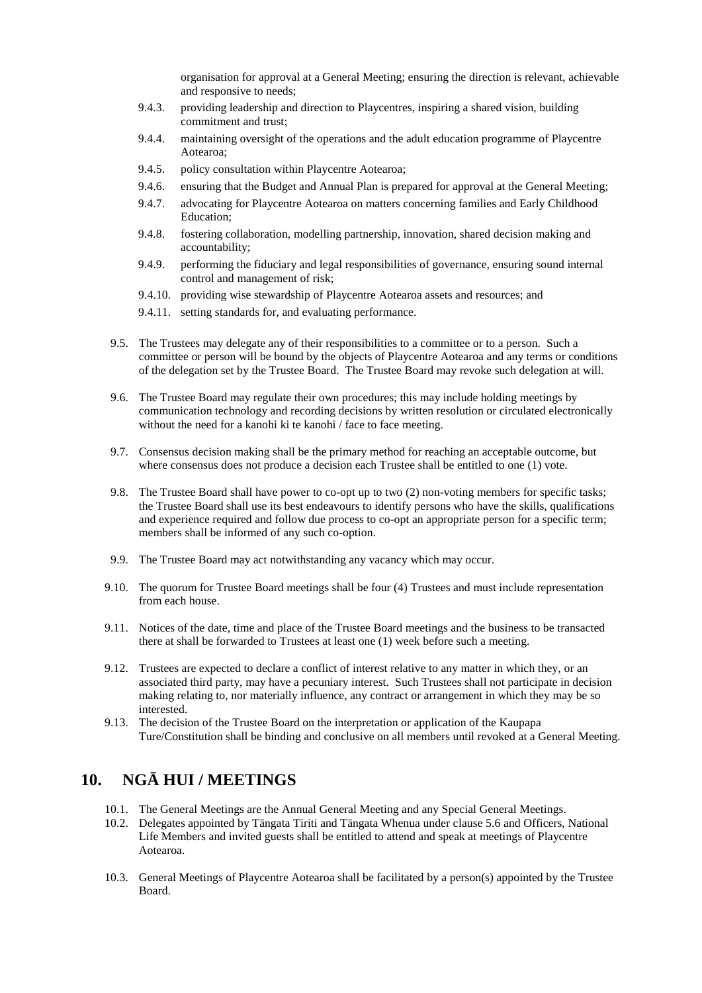organisation for approval at a General Meeting; ensuring the direction is relevant, achievable and responsive to needs;

- 9.4.3. providing leadership and direction to Playcentres, inspiring a shared vision, building commitment and trust;
- 9.4.4. maintaining oversight of the operations and the adult education programme of Playcentre Aotearoa;
- 9.4.5. policy consultation within Playcentre Aotearoa;
- 9.4.6. ensuring that the Budget and Annual Plan is prepared for approval at the General Meeting;
- 9.4.7. advocating for Playcentre Aotearoa on matters concerning families and Early Childhood Education;
- 9.4.8. fostering collaboration, modelling partnership, innovation, shared decision making and accountability;
- 9.4.9. performing the fiduciary and legal responsibilities of governance, ensuring sound internal control and management of risk;
- 9.4.10. providing wise stewardship of Playcentre Aotearoa assets and resources; and
- 9.4.11. setting standards for, and evaluating performance.
- 9.5. The Trustees may delegate any of their responsibilities to a committee or to a person. Such a committee or person will be bound by the objects of Playcentre Aotearoa and any terms or conditions of the delegation set by the Trustee Board. The Trustee Board may revoke such delegation at will.
- 9.6. The Trustee Board may regulate their own procedures; this may include holding meetings by communication technology and recording decisions by written resolution or circulated electronically without the need for a kanohi ki te kanohi / face to face meeting.
- 9.7. Consensus decision making shall be the primary method for reaching an acceptable outcome, but where consensus does not produce a decision each Trustee shall be entitled to one (1) vote.
- 9.8. The Trustee Board shall have power to co-opt up to two (2) non-voting members for specific tasks; the Trustee Board shall use its best endeavours to identify persons who have the skills, qualifications and experience required and follow due process to co-opt an appropriate person for a specific term; members shall be informed of any such co-option.
- 9.9. The Trustee Board may act notwithstanding any vacancy which may occur.
- 9.10. The quorum for Trustee Board meetings shall be four (4) Trustees and must include representation from each house.
- 9.11. Notices of the date, time and place of the Trustee Board meetings and the business to be transacted there at shall be forwarded to Trustees at least one (1) week before such a meeting.
- 9.12. Trustees are expected to declare a conflict of interest relative to any matter in which they, or an associated third party, may have a pecuniary interest. Such Trustees shall not participate in decision making relating to, nor materially influence, any contract or arrangement in which they may be so interested.
- 9.13. The decision of the Trustee Board on the interpretation or application of the Kaupapa Ture/Constitution shall be binding and conclusive on all members until revoked at a General Meeting.

### 10. NG HUI / MEETINGS

- 10.1. The General Meetings are the Annual General Meeting and any Special General Meetings.
- 10.2. Delegates appointed by T ngata Tiriti and T ngata Whenua under clause 5.6 and Officers, National Life Members and invited guests shall be entitled to attend and speak at meetings of Playcentre Aotearoa.
- 10.3. General Meetings of Playcentre Aotearoa shall be facilitated by a person(s) appointed by the Trustee Board.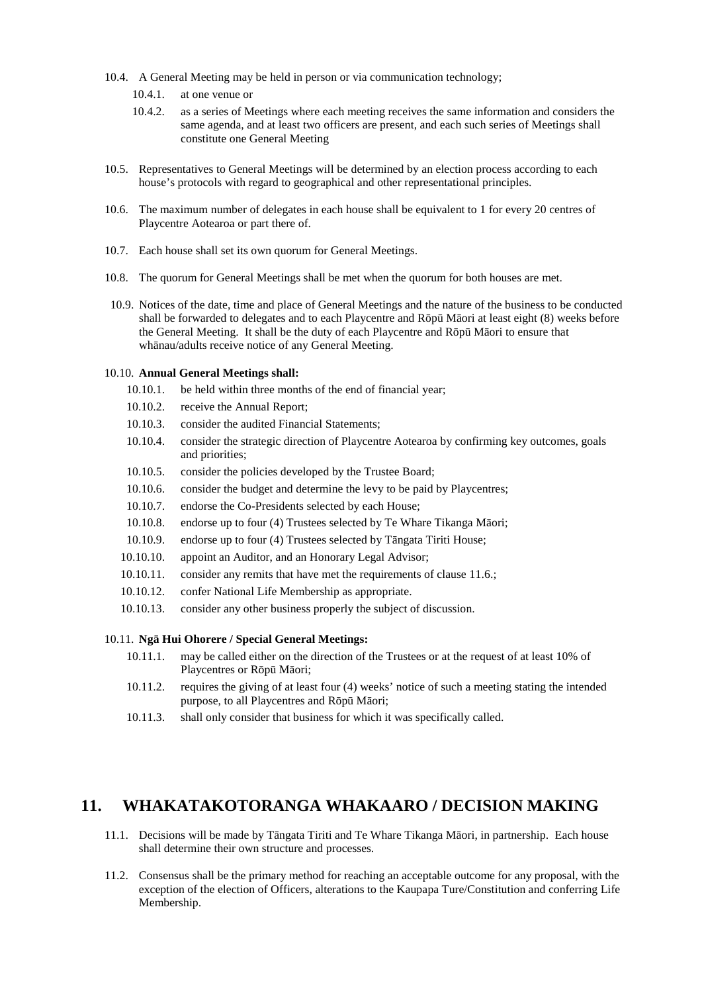- 10.4. A General Meeting may be held in person or via communication technology;
	- 10.4.1. at one venue or
	- 10.4.2. as a series of Meetings where each meeting receives the same information and considers the same agenda, and at least two officers are present, and each such series of Meetings shall constitute one General Meeting
- 10.5. Representatives to General Meetings will be determined by an election process according to each house's protocols with regard to geographical and other representational principles.
- 10.6. The maximum number of delegates in each house shall be equivalent to 1 for every 20 centres of Playcentre Aotearoa or part there of.
- 10.7. Each house shall set its own quorum for General Meetings.
- 10.8. The quorum for General Meetings shall be met when the quorum for both houses are met.
- 10.9. Notices of the date, time and place of General Meetings and the nature of the business to be conducted shall be forwarded to delegates and to each Playcentre and R $p$ <sup>M</sup> ori at least eight (8) weeks before the General Meeting. It shall be the duty of each Playcentre and  $R<sub>p</sub>$  M ori to ensure that wh nau/adults receive notice of any General Meeting.

#### 10.10. **Annual General Meetings shall:**

- 10.10.1. be held within three months of the end of financial year;
- 10.10.2. receive the Annual Report;
- 10.10.3. consider the audited Financial Statements;
- 10.10.4. consider the strategic direction of Playcentre Aotearoa by confirming key outcomes, goals and priorities;
- 10.10.5. consider the policies developed by the Trustee Board;
- 10.10.6. consider the budget and determine the levy to be paid by Playcentres;
- 10.10.7. endorse the Co-Presidents selected by each House;
- 10.10.8. endorse up to four  $(4)$  Trustees selected by Te Whare Tikanga M ori;
- 10.10.9. endorse up to four (4) Trustees selected by T ngata Tiriti House;
- 10.10.10. appoint an Auditor, and an Honorary Legal Advisor;
- 10.10.11. consider any remits that have met the requirements of clause 11.6.;
- 10.10.12. confer National Life Membership as appropriate.
- 10.10.13. consider any other business properly the subject of discussion.

#### 10.11. **Ng Hui Ohorere / Special General Meetings:**

- 10.11.1. may be called either on the direction of the Trustees or at the request of at least 10% of Playcentres or  $R$  p  $M$  ori;
- 10.11.2. requires the giving of at least four (4) weeks' notice of such a meeting stating the intended purpose, to all Playcentres and  $R$   $p$  M ori;
- 10.11.3. shall only consider that business for which it was specifically called.

### **11. WHAKATAKOTORANGA WHAKAARO / DECISION MAKING**

- 11.1. Decisions will be made by T ngata Tiriti and Te Whare Tikanga M ori, in partnership. Each house shall determine their own structure and processes.
- 11.2. Consensus shall be the primary method for reaching an acceptable outcome for any proposal, with the exception of the election of Officers, alterations to the Kaupapa Ture/Constitution and conferring Life Membership.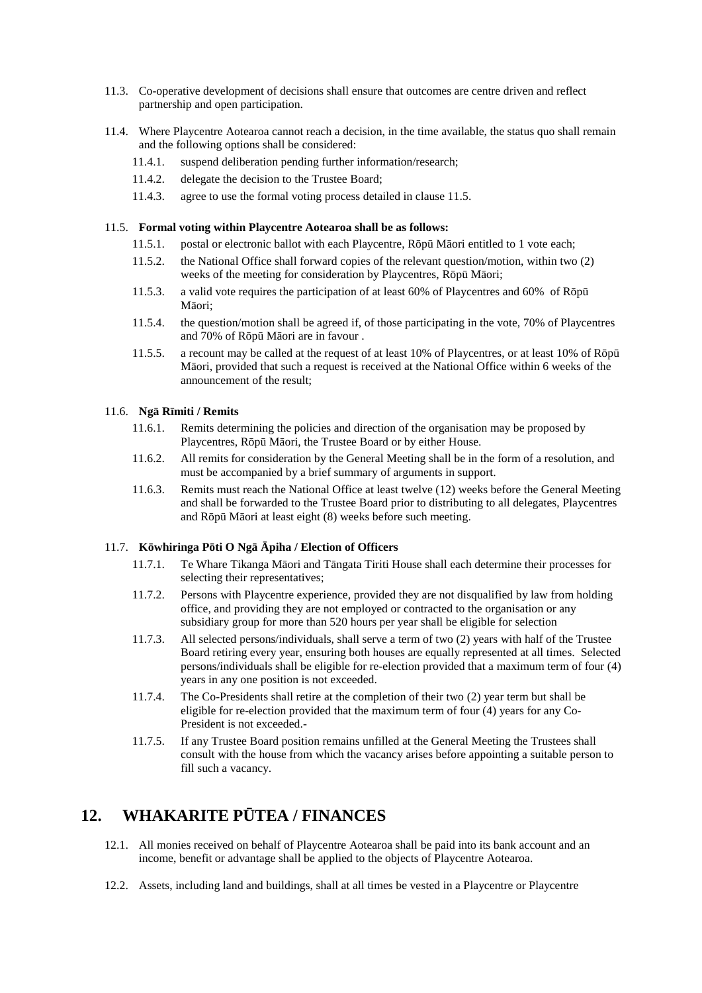- 11.3. Co-operative development of decisions shall ensure that outcomes are centre driven and reflect partnership and open participation.
- 11.4. Where Playcentre Aotearoa cannot reach a decision, in the time available, the status quo shall remain and the following options shall be considered:
	- 11.4.1. suspend deliberation pending further information/research;
	- 11.4.2. delegate the decision to the Trustee Board;
	- 11.4.3. agree to use the formal voting process detailed in clause 11.5.

#### 11.5. **Formal voting within Playcentre Aotearoa shall be as follows:**

- 11.5.1. postal or electronic ballot with each Playcentre,  $R \nvert p \Delta$  M ori entitled to 1 vote each;
- 11.5.2. the National Office shall forward copies of the relevant question/motion, within two (2) weeks of the meeting for consideration by Playcentres,  $R \, p \, M$  ori;
- 11.5.3. a valid vote requires the participation of at least 60% of Playcentres and 60% of R  $p$ M ori:
- 11.5.4. the question/motion shall be agreed if, of those participating in the vote, 70% of Playcentres and  $70\%$  of R  $p$  M ori are in favour .
- 11.5.5. a recount may be called at the request of at least  $10\%$  of Playcentres, or at least  $10\%$  of R $p$ Māori, provided that such a request is received at the National Office within 6 weeks of the announcement of the result;

#### 11.6. **Ngā Rīmiti / Remits**

- 11.6.1. Remits determining the policies and direction of the organisation may be proposed by Playcentres,  $R$   $p$  M ori, the Trustee Board or by either House.
- 11.6.2. All remits for consideration by the General Meeting shall be in the form of a resolution, and must be accompanied by a brief summary of arguments in support.
- 11.6.3. Remits must reach the National Office at least twelve (12) weeks before the General Meeting and shall be forwarded to the Trustee Board prior to distributing to all delegates, Playcentres and  $R$  p  $M$  ori at least eight (8) weeks before such meeting.

#### 11.7. **K** whiringa P ti O Ng piha / Election of Officers

- 11.7.1. Te Whare Tikanga M ori and T ngata Tiriti House shall each determine their processes for selecting their representatives;
- 11.7.2. Persons with Playcentre experience, provided they are not disqualified by law from holding office, and providing they are not employed or contracted to the organisation or any subsidiary group for more than 520 hours per year shall be eligible for selection
- 11.7.3. All selected persons/individuals, shall serve a term of two (2) years with half of the Trustee Board retiring every year, ensuring both houses are equally represented at all times. Selected persons/individuals shall be eligible for re-election provided that a maximum term of four (4) years in any one position is not exceeded.
- 11.7.4. The Co-Presidents shall retire at the completion of their two (2) year term but shall be eligible for re-election provided that the maximum term of four (4) years for any Co- President is not exceeded.-
- 11.7.5. If any Trustee Board position remains unfilled at the General Meeting the Trustees shall consult with the house from which the vacancy arises before appointing a suitable person to fill such a vacancy.

### **12. WHAKARITE P TEA / FINANCES**

- 12.1. All monies received on behalf of Playcentre Aotearoa shall be paid into its bank account and an income, benefit or advantage shall be applied to the objects of Playcentre Aotearoa.
- 12.2. Assets, including land and buildings, shall at all times be vested in a Playcentre or Playcentre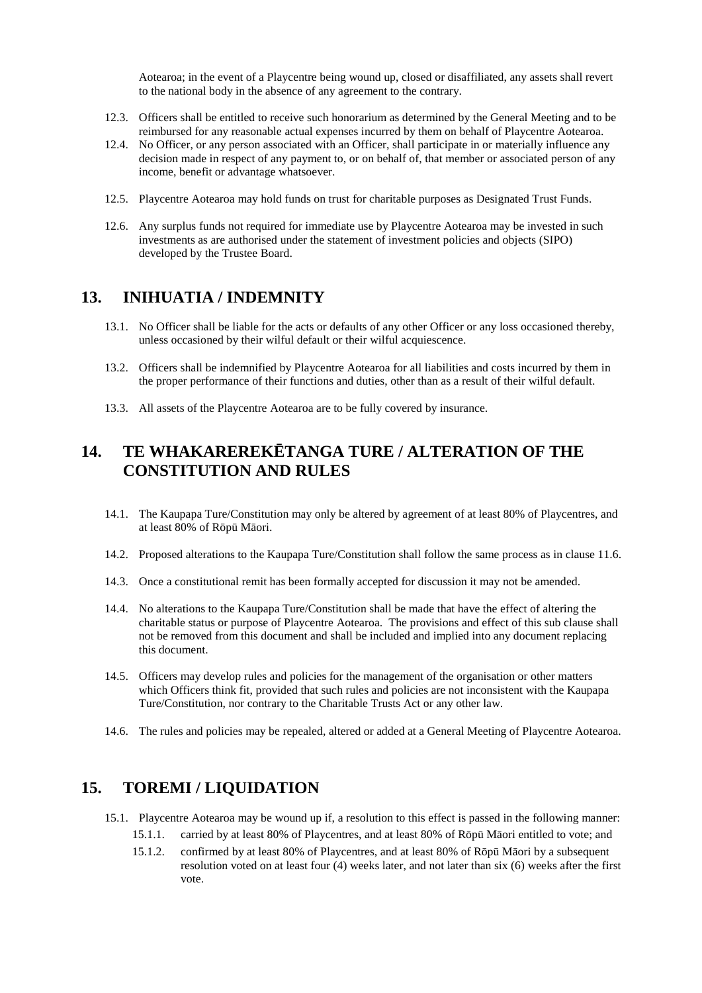Aotearoa; in the event of a Playcentre being wound up, closed or disaffiliated, any assets shall revert to the national body in the absence of any agreement to the contrary.

- 12.3. Officers shall be entitled to receive such honorarium as determined by the General Meeting and to be reimbursed for any reasonable actual expenses incurred by them on behalf of Playcentre Aotearoa.
- 12.4. No Officer, or any person associated with an Officer, shall participate in or materially influence any decision made in respect of any payment to, or on behalf of, that member or associated person of any income, benefit or advantage whatsoever.
- 12.5. Playcentre Aotearoa may hold funds on trust for charitable purposes as Designated Trust Funds.
- 12.6. Any surplus funds not required for immediate use by Playcentre Aotearoa may be invested in such investments as are authorised under the statement of investment policies and objects (SIPO) developed by the Trustee Board.

### **13. INIHUATIA / INDEMNITY**

- 13.1. No Officer shall be liable for the acts or defaults of any other Officer or any loss occasioned thereby, unless occasioned by their wilful default or their wilful acquiescence.
- 13.2. Officers shall be indemnified by Playcentre Aotearoa for all liabilities and costs incurred by them in the proper performance of their functions and duties, other than as a result of their wilful default.
- 13.3. All assets of the Playcentre Aotearoa are to be fully covered by insurance.

# 14. TE WHAKAREREK TANGA TURE / ALTERATION OF THE **CONSTITUTION AND RULES**

- 14.1. The Kaupapa Ture/Constitution may only be altered by agreement of at least 80% of Playcentres, and at least  $80\%$  of R p M ori.
- 14.2. Proposed alterations to the Kaupapa Ture/Constitution shall follow the same process as in clause 11.6.
- 14.3. Once a constitutional remit has been formally accepted for discussion it may not be amended.
- 14.4. No alterations to the Kaupapa Ture/Constitution shall be made that have the effect of altering the charitable status or purpose of Playcentre Aotearoa. The provisions and effect of this sub clause shall not be removed from this document and shall be included and implied into any document replacing this document.
- 14.5. Officers may develop rules and policies for the management of the organisation or other matters which Officers think fit, provided that such rules and policies are not inconsistent with the Kaupapa Ture/Constitution, nor contrary to the Charitable Trusts Act or any other law.
- 14.6. The rules and policies may be repealed, altered or added at a General Meeting of Playcentre Aotearoa.

### **15. TOREMI / LIQUIDATION**

- 15.1. Playcentre Aotearoa may be wound up if, a resolution to this effect is passed in the following manner:
	- 15.1.1. carried by at least 80% of Playcentres, and at least 80% of R p M ori entitled to vote; and
	- 15.1.2. confirmed by at least 80% of Playcentres, and at least 80% of R  $\,p\,$  M ori by a subsequent resolution voted on at least four (4) weeks later, and not later than six (6) weeks after the first vote.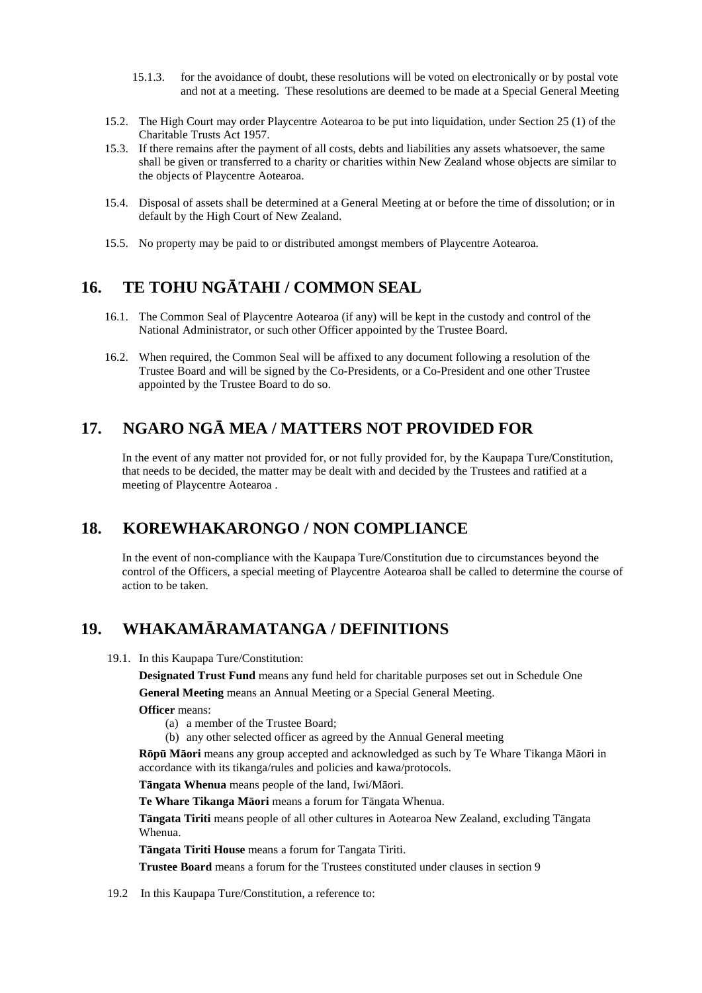- 15.1.3. for the avoidance of doubt, these resolutions will be voted on electronically or by postal vote and not at a meeting. These resolutions are deemed to be made at a Special General Meeting
- 15.2. The High Court may order Playcentre Aotearoa to be put into liquidation, under Section 25 (1) of the Charitable Trusts Act 1957.
- 15.3. If there remains after the payment of all costs, debts and liabilities any assets whatsoever, the same shall be given or transferred to a charity or charities within New Zealand whose objects are similar to the objects of Playcentre Aotearoa.
- 15.4. Disposal of assets shall be determined at a General Meeting at or before the time of dissolution; or in default by the High Court of New Zealand.
- 15.5. No property may be paid to or distributed amongst members of Playcentre Aotearoa.

### 16. TE TOHUNG TAHI / COMMON SEAL

- 16.1. The Common Seal of Playcentre Aotearoa (if any) will be kept in the custody and control of the National Administrator, or such other Officer appointed by the Trustee Board.
- 16.2. When required, the Common Seal will be affixed to any document following a resolution of the Trustee Board and will be signed by the Co-Presidents, or a Co-President and one other Trustee appointed by the Trustee Board to do so.

### 17. NGARO NG MEA / MATTERS NOT PROVIDED FOR

In the event of any matter not provided for, or not fully provided for, by the Kaupapa Ture/Constitution, that needs to be decided, the matter may be dealt with and decided by the Trustees and ratified at a meeting of Playcentre Aotearoa .

### **18. KOREWHAKARONGO / NON COMPLIANCE**

In the event of non-compliance with the Kaupapa Ture/Constitution due to circumstances beyond the control of the Officers, a special meeting of Playcentre Aotearoa shall be called to determine the course of action to be taken.

### 19. **WHAKAM RAMATANGA / DEFINITIONS**

19.1. In this Kaupapa Ture/Constitution:

**Designated Trust Fund** means any fund held for charitable purposes set out in Schedule One

**General Meeting** means an Annual Meeting or a Special General Meeting.

- **Officer** means:
	- (a) a member of the Trustee Board;
	- (b) any other selected officer as agreed by the Annual General meeting

**R** p M ori means any group accepted and acknowledged as such by Te Whare Tikanga M ori in accordance with its tikanga/rules and policies and kawa/protocols.

**T ngata Whenua** means people of the land, Iwi/M ori.

**Te Whare Tikanga M ori** means a forum for T ngata Whenua.

**T ngata Tiriti** means people of all other cultures in Aotearoa New Zealand, excluding T ngata Whenua.

**T ngata Tiriti House** means a forum for Tangata Tiriti.

**Trustee Board** means a forum for the Trustees constituted under clauses in section 9

19.2 In this Kaupapa Ture/Constitution, a reference to: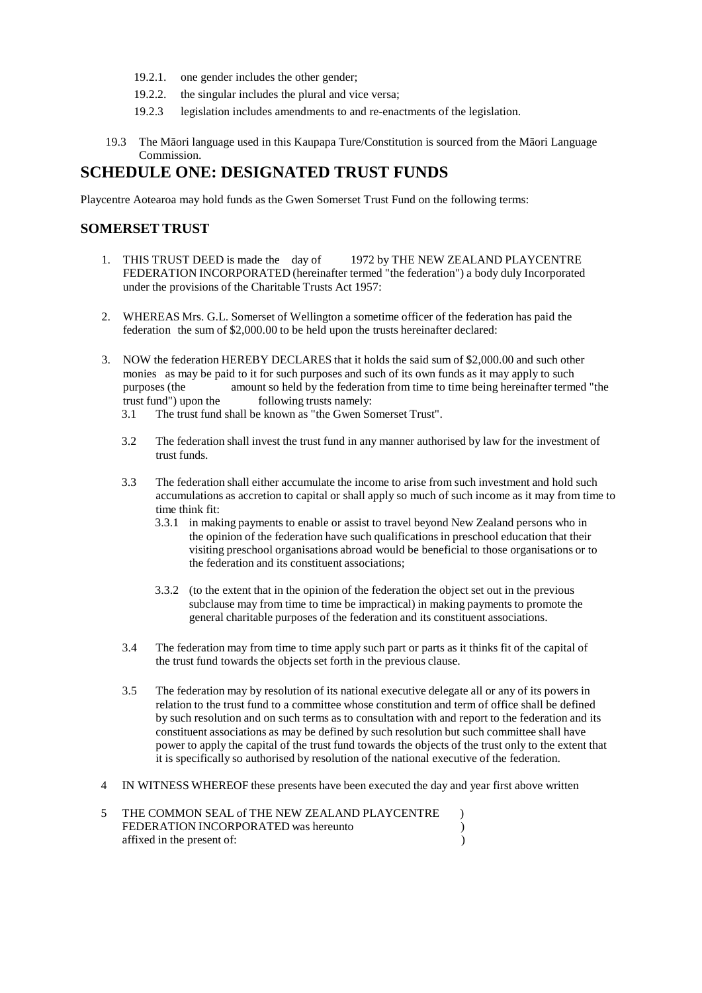- 19.2.1. one gender includes the other gender;
- 19.2.2. the singular includes the plural and vice versa;
- 19.2.3 legislation includes amendments to and re-enactments of the legislation.
- 19.3 The M ori language used in this Kaupapa Ture/Constitution is sourced from the M ori Language Commission.

# **SCHEDULE ONE: DESIGNATED TRUST FUNDS**

Playcentre Aotearoa may hold funds as the Gwen Somerset Trust Fund on the following terms:

### **SOMERSET TRUST**

- 1. THIS TRUST DEED is made the day of 1972 by THE NEW ZEALAND PLAYCENTRE FEDERATION INCORPORATED (hereinafter termed "the federation") a body duly Incorporated under the provisions of the Charitable Trusts Act 1957:
- 2. WHEREAS Mrs. G.L. Somerset of Wellington a sometime officer of the federation has paid the federation the sum of \$2,000.00 to be held upon the trusts hereinafter declared:
- 3. NOW the federation HEREBY DECLARES that it holds the said sum of \$2,000.00 and such other monies as may be paid to it for such purposes and such of its own funds as itmay apply to such purposes (the amount so held by the federation from time to time being hereinafter termed "the trust fund") upon the following trusts namely:
	- 3.1 The trust fund shall be known as "the Gwen Somerset Trust".
	- 3.2 The federation shall invest the trust fund in any manner authorised by law for the investment of trust funds.
	- 3.3 The federation shall either accumulate the income to arise from suchinvestment and hold such accumulations as accretion to capital or shall apply so much of such income as it may from time to time think fit:
		- 3.3.1 in making payments to enable or assist to travel beyond New Zealand persons who in the opinion of the federation have such qualificationsin preschool education that their visiting preschool organisations abroad would be beneficial to those organisations or to the federation and its constituent associations;
		- 3.3.2 (to the extent that in the opinion of the federation the object set out in the previous subclause may from time to time be impractical) in making payments to promote the general charitable purposes of the federation and its constituent associations.
	- 3.4 The federation may from time to time apply such part or parts as itthinks fit of the capital of the trust fund towards the objects set forth in the previous clause.
	- 3.5 The federation may by resolution of its national executive delegate allor any of its powers in relation to the trust fund to a committee whose constitution and term of office shall be defined by such resolution and on such terms as to consultation with and report to the federation and its constituent associations as may be defined by such resolution but such committee shall have power to apply the capital of the trust fund towards the objects of the trust only to the extent that it is specifically so authorised by resolution of the national executive of the federation.
- 4 IN WITNESS WHEREOF these presents have been executed the day and year first above written

| 5 THE COMMON SEAL of THE NEW ZEALAND PLAYCENTRE |  |
|-------------------------------------------------|--|
| FEDERATION INCORPORATED was hereunto            |  |
| affixed in the present of:                      |  |